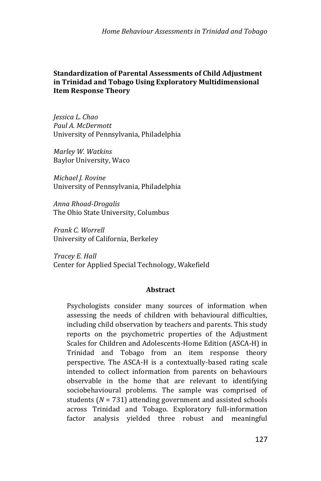*Home Behaviour Assessments in Trinidad and Tobago*

## **Standardization of Parental Assessments of Child Adjustment in Trinidad and Tobago Using Exploratory Multidimensional Item Response Theory**

*Jessica L. Chao Paul A. McDermott* University of Pennsylvania, Philadelphia

*Marley W. Watkins* Baylor University, Waco

*Michael J. Rovine* University of Pennsylvania, Philadelphia

*Anna Rhoad-Drogalis* The Ohio State University, Columbus

*Frank C. Worrell* University of California, Berkeley

*Tracey E. Hall* Center for Applied Special Technology, Wakefield

## **Abstract**

Psychologists consider many sources of information when assessing the needs of children with behavioural difficulties, including child observation by teachers and parents. This study reports on the psychometric properties of the Adjustment Scales for Children and Adolescents-Home Edition (ASCA-H) in Trinidad and Tobago from an item response theory perspective. The ASCA-H is a contextually-based rating scale intended to collect information from parents on behaviours observable in the home that are relevant to identifying sociobehavioural problems. The sample was comprised of students (*N* = 731) attending government and assisted schools across Trinidad and Tobago. Exploratory full-information factor analysis yielded three robust and meaningful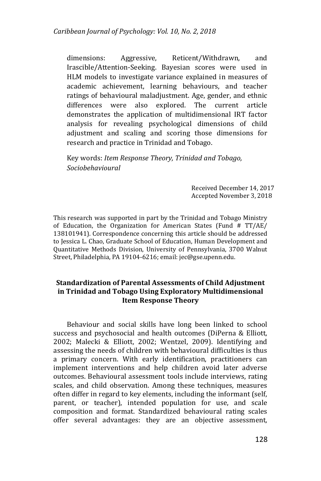dimensions: Aggressive, Reticent/Withdrawn, and Irascible/Attention-Seeking. Bayesian scores were used in HLM models to investigate variance explained in measures of academic achievement, learning behaviours, and teacher ratings of behavioural maladjustment. Age, gender, and ethnic differences were also explored. The current article demonstrates the application of multidimensional IRT factor analysis for revealing psychological dimensions of child adjustment and scaling and scoring those dimensions for research and practice in Trinidad and Tobago.

Key words: *Item Response Theory, Trinidad and Tobago, Sociobehavioural* 

> Received December 14, 2017 Accepted November 3, 2018

This research was supported in part by the Trinidad and Tobago Ministry of Education, the Organization for American States (Fund # TT/AE/ 138101941). Correspondence concerning this article should be addressed to Jessica L. Chao, Graduate School of Education, Human Development and Quantitative Methods Division, University of Pennsylvania, 3700 Walnut Street, Philadelphia, PA 19104-6216; email: jec@gse.upenn.edu.

## **Standardization of Parental Assessments of Child Adjustment in Trinidad and Tobago Using Exploratory Multidimensional Item Response Theory**

Behaviour and social skills have long been linked to school success and psychosocial and health outcomes (DiPerna & Elliott, 2002; Malecki & Elliott, 2002; Wentzel, 2009). Identifying and assessing the needs of children with behavioural difficulties is thus a primary concern. With early identification, practitioners can implement interventions and help children avoid later adverse outcomes. Behavioural assessment tools include interviews, rating scales, and child observation. Among these techniques, measures often differ in regard to key elements, including the informant (self, parent, or teacher), intended population for use, and scale composition and format. Standardized behavioural rating scales offer several advantages: they are an objective assessment,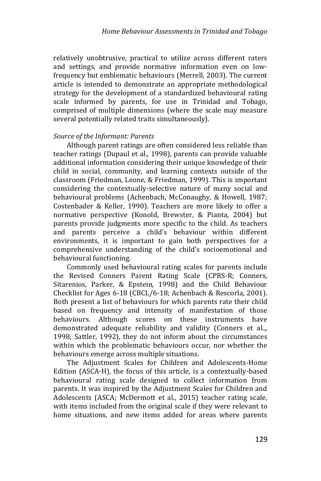relatively unobtrusive, practical to utilize across different raters and settings, and provide normative information even on lowfrequency but emblematic behaviours (Merrell, 2003). The current article is intended to demonstrate an appropriate methodological strategy for the development of a standardized behavioural rating scale informed by parents, for use in Trinidad and Tobago, comprised of multiple dimensions (where the scale may measure several potentially related traits simultaneously).

### *Source of the Informant: Parents*

Although parent ratings are often considered less reliable than teacher ratings (Dupaul et al., 1998), parents can provide valuable additional information considering their unique knowledge of their child in social, community, and learning contexts outside of the classroom (Friedman, Leone, & Friedman, 1999). This is important considering the contextually-selective nature of many social and behavioural problems (Achenbach, McConaughy, & Howell, 1987; Costenbader & Keller, 1990). Teachers are more likely to offer a normative perspective (Konold, Brewster, & Pianta, 2004) but parents provide judgments more specific to the child. As teachers and parents perceive a child's behaviour within different environments, it is important to gain both perspectives for a comprehensive understanding of the child's socioemotional and behavioural functioning.

Commonly used behavioural rating scales for parents include the Revised Conners Parent Rating Scale (CPRS-R; Conners, Sitarenios, Parker, & Epstein, 1998) and the Child Behaviour Checklist for Ages 6-18 (CBCL/6-18; Achenbach & Rescorla, 2001). Both present a list of behaviours for which parents rate their child based on frequency and intensity of manifestation of those behaviours. Although scores on these instruments have demonstrated adequate reliability and validity (Conners et al.,, 1998; Sattler, 1992), they do not inform about the circumstances within which the problematic behaviours occur, nor whether the behaviours emerge across multiple situations.

The Adjustment Scales for Children and Adolescents-Home Edition (ASCA-H), the focus of this article, is a contextually-based behavioural rating scale designed to collect information from parents. It was inspired by the Adjustment Scales for Children and Adolescents (ASCA; McDermott et al., 2015) teacher rating scale, with items included from the original scale if they were relevant to home situations, and new items added for areas where parents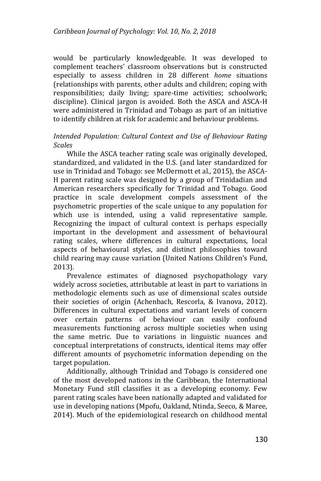would be particularly knowledgeable. It was developed to complement teachers' classroom observations but is constructed especially to assess children in 28 different *home* situations (relationships with parents, other adults and children; coping with responsibilities; daily living; spare-time activities; schoolwork; discipline). Clinical jargon is avoided. Both the ASCA and ASCA-H were administered in Trinidad and Tobago as part of an initiative to identify children at risk for academic and behaviour problems.

### *Intended Population: Cultural Context and Use of Behaviour Rating Scales*

While the ASCA teacher rating scale was originally developed, standardized, and validated in the U.S. (and later standardized for use in Trinidad and Tobago: see McDermott et al., 2015), the ASCA-H parent rating scale was designed by a group of Trinidadian and American researchers specifically for Trinidad and Tobago. Good practice in scale development compels assessment of the psychometric properties of the scale unique to any population for which use is intended, using a valid representative sample. Recognizing the impact of cultural context is perhaps especially important in the development and assessment of behavioural rating scales, where differences in cultural expectations, local aspects of behavioural styles, and distinct philosophies toward child rearing may cause variation (United Nations Children's Fund, 2013).

Prevalence estimates of diagnosed psychopathology vary widely across societies, attributable at least in part to variations in methodologic elements such as use of dimensional scales outside their societies of origin (Achenbach, Rescorla, & Ivanova, 2012). Differences in cultural expectations and variant levels of concern over certain patterns of behaviour can easily confound measurements functioning across multiple societies when using the same metric. Due to variations in linguistic nuances and conceptual interpretations of constructs, identical items may offer different amounts of psychometric information depending on the target population.

Additionally, although Trinidad and Tobago is considered one of the most developed nations in the Caribbean, the International Monetary Fund still classifies it as a developing economy. Few parent rating scales have been nationally adapted and validated for use in developing nations (Mpofu, Oakland, Ntinda, Seeco, & Maree, 2014). Much of the epidemiological research on childhood mental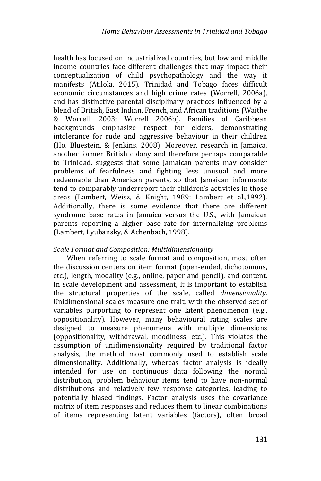health has focused on industrialized countries, but low and middle income countries face different challenges that may impact their conceptualization of child psychopathology and the way it manifests (Atilola, 2015). Trinidad and Tobago faces difficult economic circumstances and high crime rates (Worrell, 2006a), and has distinctive parental disciplinary practices influenced by a blend of British, East Indian, French, and African traditions (Waithe & Worrell, 2003; Worrell 2006b). Families of Caribbean backgrounds emphasize respect for elders, demonstrating intolerance for rude and aggressive behaviour in their children (Ho, Bluestein, & Jenkins, 2008). Moreover, research in Jamaica, another former British colony and therefore perhaps comparable to Trinidad, suggests that some Jamaican parents may consider problems of fearfulness and fighting less unusual and more redeemable than American parents, so that Jamaican informants tend to comparably underreport their children's activities in those areas (Lambert, Weisz, & Knight, 1989; Lambert et al.,1992). Additionally, there is some evidence that there are different syndrome base rates in Jamaica versus the U.S., with Jamaican parents reporting a higher base rate for internalizing problems (Lambert, Lyubansky, & Achenbach, 1998).

## *Scale Format and Composition: Multidimensionality*

When referring to scale format and composition, most often the discussion centers on item format (open-ended, dichotomous, etc.), length, modality (e.g., online, paper and pencil), and content. In scale development and assessment, it is important to establish the structural properties of the scale, called *dimensionality*. Unidimensional scales measure one trait, with the observed set of variables purporting to represent one latent phenomenon (e.g., oppositionality). However, many behavioural rating scales are designed to measure phenomena with multiple dimensions (oppositionality, withdrawal, moodiness, etc.). This violates the assumption of unidimensionality required by traditional factor analysis, the method most commonly used to establish scale dimensionality. Additionally, whereas factor analysis is ideally intended for use on continuous data following the normal distribution, problem behaviour items tend to have non-normal distributions and relatively few response categories, leading to potentially biased findings. Factor analysis uses the covariance matrix of item responses and reduces them to linear combinations of items representing latent variables (factors), often broad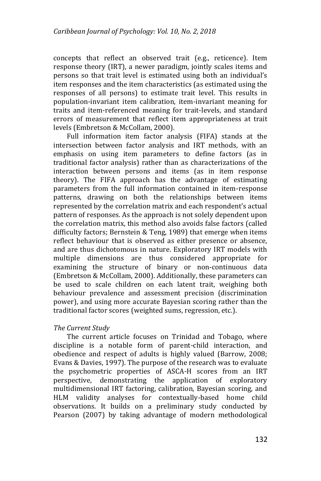concepts that reflect an observed trait (e.g., reticence). Item response theory (IRT), a newer paradigm, jointly scales items and persons so that trait level is estimated using both an individual's item responses and the item characteristics (as estimated using the responses of all persons) to estimate trait level. This results in population-invariant item calibration, item-invariant meaning for traits and item-referenced meaning for trait-levels, and standard errors of measurement that reflect item appropriateness at trait levels (Embretson & McCollam, 2000).

Full information item factor analysis (FIFA) stands at the intersection between factor analysis and IRT methods, with an emphasis on using item parameters to define factors (as in traditional factor analysis) rather than as characterizations of the interaction between persons and items (as in item response theory). The FIFA approach has the advantage of estimating parameters from the full information contained in item-response patterns, drawing on both the relationships between items represented by the correlation matrix and each respondent's actual pattern of responses. As the approach is not solely dependent upon the correlation matrix, this method also avoids false factors (called difficulty factors; Bernstein & Teng, 1989) that emerge when items reflect behaviour that is observed as either presence or absence, and are thus dichotomous in nature. Exploratory IRT models with multiple dimensions are thus considered appropriate for examining the structure of binary or non-continuous data (Embretson & McCollam, 2000). Additionally, these parameters can be used to scale children on each latent trait, weighing both behaviour prevalence and assessment precision (discrimination power), and using more accurate Bayesian scoring rather than the traditional factor scores (weighted sums, regression, etc.).

## *The Current Study*

The current article focuses on Trinidad and Tobago, where discipline is a notable form of parent-child interaction, and obedience and respect of adults is highly valued (Barrow, 2008; Evans & Davies, 1997). The purpose of the research was to evaluate the psychometric properties of ASCA-H scores from an IRT perspective, demonstrating the application of exploratory multidimensional IRT factoring, calibration, Bayesian scoring, and HLM validity analyses for contextually-based home child observations. It builds on a preliminary study conducted by Pearson (2007) by taking advantage of modern methodological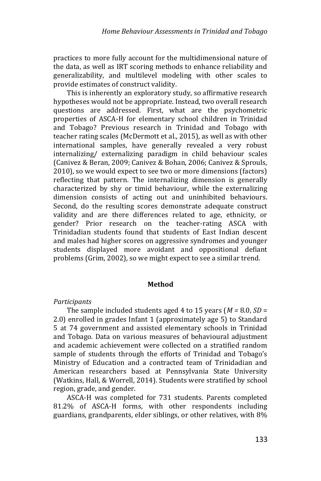practices to more fully account for the multidimensional nature of the data, as well as IRT scoring methods to enhance reliability and generalizability, and multilevel modeling with other scales to provide estimates of construct validity.

This is inherently an exploratory study, so affirmative research hypotheses would not be appropriate. Instead, two overall research questions are addressed. First, what are the psychometric properties of ASCA-H for elementary school children in Trinidad and Tobago? Previous research in Trinidad and Tobago with teacher rating scales (McDermott et al., 2015), as well as with other international samples, have generally revealed a very robust internalizing/ externalizing paradigm in child behaviour scales (Canivez & Beran, 2009; Canivez & Bohan, 2006; Canivez & Sprouls, 2010), so we would expect to see two or more dimensions (factors) reflecting that pattern. The internalizing dimension is generally characterized by shy or timid behaviour, while the externalizing dimension consists of acting out and uninhibited behaviours. Second, do the resulting scores demonstrate adequate construct validity and are there differences related to age, ethnicity, or gender? Prior research on the teacher-rating ASCA with Trinidadian students found that students of East Indian descent and males had higher scores on aggressive syndromes and younger students displayed more avoidant and oppositional defiant problems (Grim, 2002), so we might expect to see a similar trend.

### **Method**

## *Participants*

The sample included students aged 4 to 15 years (*M =* 8.0, *SD* = 2.0) enrolled in grades Infant 1 (approximately age 5) to Standard 5 at 74 government and assisted elementary schools in Trinidad and Tobago. Data on various measures of behavioural adjustment and academic achievement were collected on a stratified random sample of students through the efforts of Trinidad and Tobago's Ministry of Education and a contracted team of Trinidadian and American researchers based at Pennsylvania State University (Watkins, Hall, & Worrell, 2014). Students were stratified by school region, grade, and gender.

ASCA-H was completed for 731 students. Parents completed 81.2% of ASCA-H forms, with other respondents including guardians, grandparents, elder siblings, or other relatives, with 8%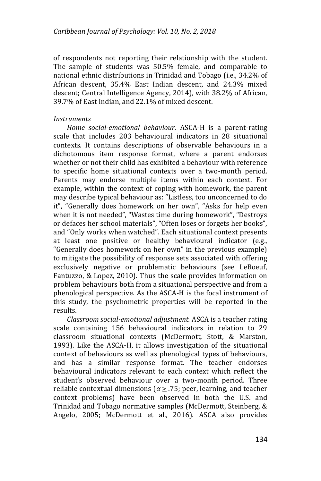of respondents not reporting their relationship with the student. The sample of students was 50.5% female, and comparable to national ethnic distributions in Trinidad and Tobago (i.e., 34.2% of African descent, 35.4% East Indian descent, and 24.3% mixed descent; Central Intelligence Agency, 2014), with 38.2% of African, 39.7% of East Indian, and 22.1% of mixed descent.

## *Instruments*

 *Home social-emotional behaviour.* ASCA-H is a parent-rating scale that includes 203 behavioural indicators in 28 situational contexts. It contains descriptions of observable behaviours in a dichotomous item response format, where a parent endorses whether or not their child has exhibited a behaviour with reference to specific home situational contexts over a two-month period. Parents may endorse multiple items within each context. For example, within the context of coping with homework, the parent may describe typical behaviour as: "Listless, too unconcerned to do it", "Generally does homework on her own", "Asks for help even when it is not needed", "Wastes time during homework", "Destroys or defaces her school materials", "Often loses or forgets her books", and "Only works when watched". Each situational context presents at least one positive or healthy behavioural indicator (e.g., "Generally does homework on her own" in the previous example) to mitigate the possibility of response sets associated with offering exclusively negative or problematic behaviours (see LeBoeuf, Fantuzzo, & Lopez, 2010). Thus the scale provides information on problem behaviours both from a situational perspective and from a phenological perspective. As the ASCA-H is the focal instrument of this study, the psychometric properties will be reported in the results.

 *Classroom social-emotional adjustment.* ASCA is a teacher rating scale containing 156 behavioural indicators in relation to 29 classroom situational contexts (McDermott, Stott, & Marston, 1993). Like the ASCA-H, it allows investigation of the situational context of behaviours as well as phenological types of behaviours, and has a similar response format. The teacher endorses behavioural indicators relevant to each context which reflect the student's observed behaviour over a two-month period. Three reliable contextual dimensions (*α* ≥ .75; peer, learning, and teacher context problems) have been observed in both the U.S. and Trinidad and Tobago normative samples (McDermott, Steinberg, & Angelo, 2005; McDermott et al., 2016). ASCA also provides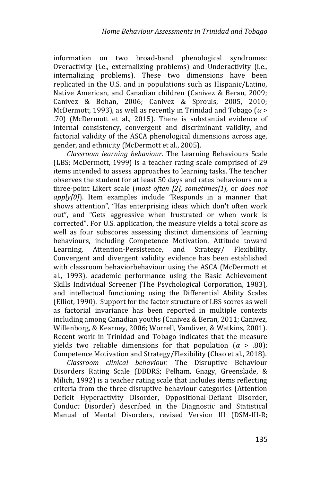information on two broad-band phenological syndromes: Overactivity (i.e., externalizing problems) and Underactivity (i.e., internalizing problems). These two dimensions have been replicated in the U.S. and in populations such as Hispanic/Latino, Native American, and Canadian children (Canivez & Beran, 2009; Canivez & Bohan, 2006; Canivez & Sprouls, 2005, 2010; McDermott, 1993), as well as recently in Trinidad and Tobago (*α* > .70) (McDermott et al., 2015). There is substantial evidence of internal consistency, convergent and discriminant validity, and factorial validity of the ASCA phenological dimensions across age, gender, and ethnicity (McDermott et al., 2005).

*Classroom learning behaviour.* The Learning Behaviours Scale (LBS; McDermott, 1999) is a teacher rating scale comprised of 29 items intended to assess approaches to learning tasks. The teacher observes the student for at least 50 days and rates behaviours on a three-point Likert scale (*most often [2], sometimes[1],* or *does not apply[0]*). Item examples include "Responds in a manner that shows attention", "Has enterprising ideas which don't often work out", and "Gets aggressive when frustrated or when work is corrected". For U.S. application, the measure yields a total score as well as four subscores assessing distinct dimensions of learning behaviours, including Competence Motivation, Attitude toward Learning, Attention-Persistence, and Strategy/ Flexibility. Convergent and divergent validity evidence has been established with classroom behaviorbehaviour using the ASCA (McDermott et al., 1993), academic performance using the Basic Achievement Skills Individual Screener (The Psychological Corporation, 1983), and intellectual functioning using the Differential Ability Scales (Elliot, 1990). Support for the factor structure of LBS scores as well as factorial invariance has been reported in multiple contexts including among Canadian youths (Canivez & Beran, 2011; Canivez, Willenborg, & Kearney, 2006; Worrell, Vandiver, & Watkins, 2001). Recent work in Trinidad and Tobago indicates that the measure yields two reliable dimensions for that population  $(\alpha > .80)$ : Competence Motivation and Strategy/Flexibility (Chao et al., 2018).

*Classroom clinical behaviour.* The Disruptive Behaviour Disorders Rating Scale (DBDRS; Pelham, Gnagy, Greenslade, & Milich, 1992) is a teacher rating scale that includes items reflecting criteria from the three disruptive behaviour categories (Attention Deficit Hyperactivity Disorder, Oppositional-Defiant Disorder, Conduct Disorder) described in the Diagnostic and Statistical Manual of Mental Disorders, revised Version III (DSM-III-R;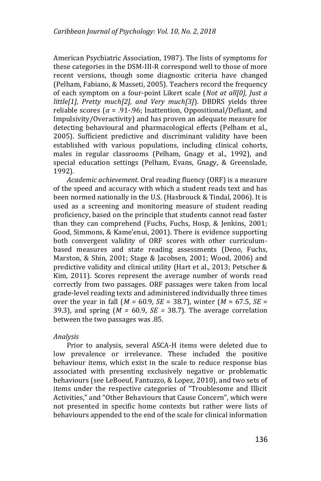American Psychiatric Association, 1987). The lists of symptoms for these categories in the DSM-III-R correspond well to those of more recent versions, though some diagnostic criteria have changed (Pelham, Fabiano, & Masseti, 2005). Teachers record the frequency of each symptom on a four-point Likert scale (*Not at all[0], Just a little[1], Pretty much[2], and Very much[3]*). DBDRS yields three reliable scores (*α* = .91-.96; Inattention, Oppositional/Defiant, and Impulsivity/Overactivity) and has proven an adequate measure for detecting behavioural and pharmacological effects (Pelham et al., 2005). Sufficient predictive and discriminant validity have been established with various populations, including clinical cohorts, males in regular classrooms (Pelham, Gnagy et al., 1992), and special education settings (Pelham, Evans, Gnagy, & Greenslade, 1992).

*Academic achievement.* Oral reading fluency (ORF) is a measure of the speed and accuracy with which a student reads text and has been normed nationally in the U.S. (Hasbrouck & Tindal, 2006). It is used as a screening and monitoring measure of student reading proficiency, based on the principle that students cannot read faster than they can comprehend (Fuchs, Fuchs, Hosp, & Jenkins, 2001; Good, Simmons, & Kame'enui, 2001). There is evidence supporting both convergent validity of ORF scores with other curriculumbased measures and state reading assessments (Deno, Fuchs, Marston, & Shin, 2001; Stage & Jacobsen, 2001; Wood, 2006) and predictive validity and clinical utility (Hart et al., 2013; Petscher & Kim, 2011). Scores represent the average number of words read correctly from two passages. ORF passages were taken from local grade-level reading texts and administered individually three times over the year in fall (*M =* 60.9*, SE* = 38.7), winter (*M* = 67.5, *SE* = 39.3), and spring (*M =* 60.9, *SE =* 38.7). The average correlation between the two passages was .85.

## *Analysis*

Prior to analysis, several ASCA-H items were deleted due to low prevalence or irrelevance. These included the positive behaviour items, which exist in the scale to reduce response bias associated with presenting exclusively negative or problematic behaviours (see LeBoeuf, Fantuzzo, & Lopez, 2010), and two sets of items under the respective categories of "Troublesome and Illicit Activities," and "Other Behaviours that Cause Concern", which were not presented in specific home contexts but rather were lists of behaviours appended to the end of the scale for clinical information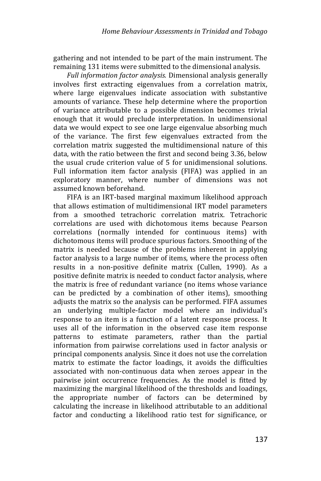gathering and not intended to be part of the main instrument. The remaining 131 items were submitted to the dimensional analysis.

*Full information factor analysis.* Dimensional analysis generally involves first extracting eigenvalues from a correlation matrix, where large eigenvalues indicate association with substantive amounts of variance. These help determine where the proportion of variance attributable to a possible dimension becomes trivial enough that it would preclude interpretation. In unidimensional data we would expect to see one large eigenvalue absorbing much of the variance. The first few eigenvalues extracted from the correlation matrix suggested the multidimensional nature of this data, with the ratio between the first and second being 3.36, below the usual crude criterion value of 5 for unidimensional solutions. Full information item factor analysis (FIFA) was applied in an exploratory manner, where number of dimensions was not assumed known beforehand.

FIFA is an IRT-based marginal maximum likelihood approach that allows estimation of multidimensional IRT model parameters from a smoothed tetrachoric correlation matrix. Tetrachoric correlations are used with dichotomous items because Pearson correlations (normally intended for continuous items) with dichotomous items will produce spurious factors. Smoothing of the matrix is needed because of the problems inherent in applying factor analysis to a large number of items, where the process often results in a non-positive definite matrix (Cullen, 1990). As a positive definite matrix is needed to conduct factor analysis, where the matrix is free of redundant variance (no items whose variance can be predicted by a combination of other items), smoothing adjusts the matrix so the analysis can be performed. FIFA assumes an underlying multiple-factor model where an individual's response to an item is a function of a latent response process. It uses all of the information in the observed case item response patterns to estimate parameters, rather than the partial information from pairwise correlations used in factor analysis or principal components analysis. Since it does not use the correlation matrix to estimate the factor loadings, it avoids the difficulties associated with non-continuous data when zeroes appear in the pairwise joint occurrence frequencies. As the model is fitted by maximizing the marginal likelihood of the thresholds and loadings, the appropriate number of factors can be determined by calculating the increase in likelihood attributable to an additional factor and conducting a likelihood ratio test for significance, or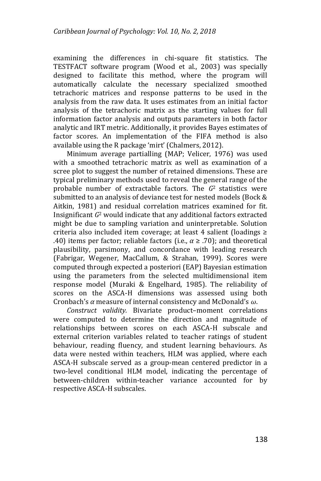examining the differences in chi-square fit statistics. The TESTFACT software program (Wood et al., 2003) was specially designed to facilitate this method, where the program will automatically calculate the necessary specialized smoothed tetrachoric matrices and response patterns to be used in the analysis from the raw data. It uses estimates from an initial factor analysis of the tetrachoric matrix as the starting values for full information factor analysis and outputs parameters in both factor analytic and IRT metric. Additionally, it provides Bayes estimates of factor scores. An implementation of the FIFA method is also available using the R package 'mirt' (Chalmers, 2012).

Minimum average partialling (MAP; Velicer, 1976) was used with a smoothed tetrachoric matrix as well as examination of a scree plot to suggest the number of retained dimensions. These are typical preliminary methods used to reveal the general range of the probable number of extractable factors. The *G*2 statistics were submitted to an analysis of deviance test for nested models (Bock & Aitkin, 1981) and residual correlation matrices examined for fit. Insignificant *G*<sup>2</sup> would indicate that any additional factors extracted might be due to sampling variation and uninterpretable. Solution criteria also included item coverage; at least 4 salient (loadings ≥ .40) items per factor; reliable factors (i.e.,  $\alpha \geq .70$ ); and theoretical plausibility, parsimony, and concordance with leading research (Fabrigar, Wegener, MacCallum, & Strahan, 1999). Scores were computed through expected a posteriori (EAP) Bayesian estimation using the parameters from the selected multidimensional item response model (Muraki & Engelhard, 1985). The reliability of scores on the ASCA-H dimensions was assessed using both Cronbach's *α* measure of internal consistency and McDonald's *ω*.

*Construct validity.* Bivariate product–moment correlations were computed to determine the direction and magnitude of relationships between scores on each ASCA-H subscale and external criterion variables related to teacher ratings of student behaviour, reading fluency, and student learning behaviours. As data were nested within teachers, HLM was applied, where each ASCA-H subscale served as a group-mean centered predictor in a two-level conditional HLM model, indicating the percentage of between-children within-teacher variance accounted for by respective ASCA-H subscales.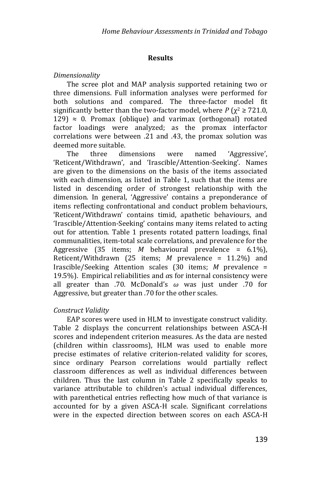### **Results**

### *Dimensionality*

The scree plot and MAP analysis supported retaining two or three dimensions. Full information analyses were performed for both solutions and compared. The three-factor model fit significantly better than the two-factor model, where  $P(x^2 \ge 721.0$ ,  $129$ )  $\approx$  0. Promax (oblique) and varimax (orthogonal) rotated factor loadings were analyzed; as the promax interfactor correlations were between .21 and .43, the promax solution was deemed more suitable.

The three dimensions were named 'Aggressive', 'Reticent/Withdrawn', and 'Irascible/Attention-Seeking'. Names are given to the dimensions on the basis of the items associated with each dimension, as listed in Table 1, such that the items are listed in descending order of strongest relationship with the dimension. In general, 'Aggressive' contains a preponderance of items reflecting confrontational and conduct problem behaviours, 'Reticent/Withdrawn' contains timid, apathetic behaviours, and 'Irascible/Attention-Seeking' contains many items related to acting out for attention. Table 1 presents rotated pattern loadings, final communalities, item-total scale correlations, and prevalence for the Aggressive (35 items; *M* behavioural prevalence = 6.1%), Reticent/Withdrawn (25 items; *M* prevalence = 11.2%) and Irascible/Seeking Attention scales (30 items; *M* prevalence = 19.5%). Empirical reliabilities and *α*s for internal consistency were all greater than .70. McDonald's *ω* was just under .70 for Aggressive, but greater than .70 for the other scales.

### *Construct Validity*

EAP scores were used in HLM to investigate construct validity. Table 2 displays the concurrent relationships between ASCA-H scores and independent criterion measures. As the data are nested (children within classrooms), HLM was used to enable more precise estimates of relative criterion-related validity for scores, since ordinary Pearson correlations would partially reflect classroom differences as well as individual differences between children. Thus the last column in Table 2 specifically speaks to variance attributable to children's actual individual differences, with parenthetical entries reflecting how much of that variance is accounted for by a given ASCA-H scale. Significant correlations were in the expected direction between scores on each ASCA-H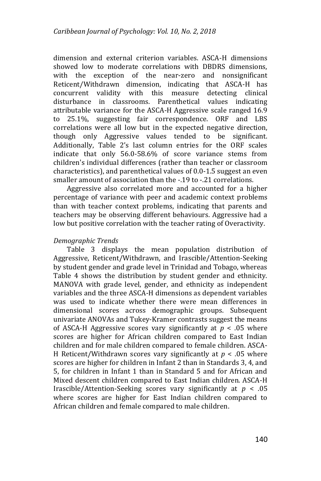dimension and external criterion variables. ASCA-H dimensions showed low to moderate correlations with DBDRS dimensions, with the exception of the near-zero and nonsignificant Reticent/Withdrawn dimension, indicating that ASCA-H has concurrent validity with this measure detecting clinical disturbance in classrooms. Parenthetical values indicating attributable variance for the ASCA-H Aggressive scale ranged 16.9 to 25.1%, suggesting fair correspondence. ORF and LBS correlations were all low but in the expected negative direction, though only Aggressive values tended to be significant. Additionally, Table 2's last column entries for the ORF scales indicate that only 56.0-58.6% of score variance stems from children's individual differences (rather than teacher or classroom characteristics), and parenthetical values of 0.0-1.5 suggest an even smaller amount of association than the -.19 to -.21 correlations.

Aggressive also correlated more and accounted for a higher percentage of variance with peer and academic context problems than with teacher context problems, indicating that parents and teachers may be observing different behaviours. Aggressive had a low but positive correlation with the teacher rating of Overactivity.

## *Demographic Trends*

Table 3 displays the mean population distribution of Aggressive, Reticent/Withdrawn, and Irascible/Attention-Seeking by student gender and grade level in Trinidad and Tobago, whereas Table 4 shows the distribution by student gender and ethnicity. MANOVA with grade level, gender, and ethnicity as independent variables and the three ASCA-H dimensions as dependent variables was used to indicate whether there were mean differences in dimensional scores across demographic groups. Subsequent univariate ANOVAs and Tukey-Kramer contrasts suggest the means of ASCA-H Aggressive scores vary significantly at *p* < .05 where scores are higher for African children compared to East Indian children and for male children compared to female children. ASCA-H Reticent/Withdrawn scores vary significantly at *p* < .05 where scores are higher for children in Infant 2 than in Standards 3, 4, and 5, for children in Infant 1 than in Standard 5 and for African and Mixed descent children compared to East Indian children. ASCA-H Irascible/Attention-Seeking scores vary significantly at *p* < .05 where scores are higher for East Indian children compared to African children and female compared to male children.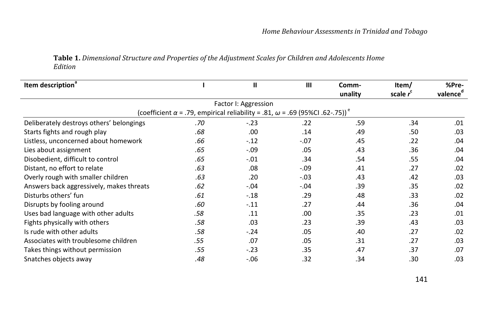## **Table 1.** *Dimensional Structure and Properties of the Adjustment Scales for Children and Adolescents Home Edition*

| Item description <sup>®</sup>            |     | $\mathbf{I}$                                                                                           | III    | Comm-<br>unality | Item/<br>scale r <sup>c</sup> | %Pre-<br>valence <sup>d</sup> |
|------------------------------------------|-----|--------------------------------------------------------------------------------------------------------|--------|------------------|-------------------------------|-------------------------------|
|                                          |     | Factor I: Aggression                                                                                   |        |                  |                               |                               |
|                                          |     | (coefficient $\alpha$ = .79, empirical reliability = .81, $\omega$ = .69 (95%CI .62-.75)) <sup>e</sup> |        |                  |                               |                               |
| Deliberately destroys others' belongings | .70 | $-.23$                                                                                                 | .22    | .59              | .34                           | .01                           |
| Starts fights and rough play             | .68 | .00                                                                                                    | .14    | .49              | .50                           | .03                           |
| Listless, unconcerned about homework     | .66 | $-.12$                                                                                                 | $-.07$ | .45              | .22                           | .04                           |
| Lies about assignment                    | .65 | $-.09$                                                                                                 | .05    | .43              | .36                           | .04                           |
| Disobedient, difficult to control        | .65 | $-.01$                                                                                                 | .34    | .54              | .55                           | .04                           |
| Distant, no effort to relate             | .63 | .08                                                                                                    | $-.09$ | .41              | .27                           | .02                           |
| Overly rough with smaller children       | .63 | .20                                                                                                    | $-.03$ | .43              | .42                           | .03                           |
| Answers back aggressively, makes threats | .62 | $-.04$                                                                                                 | $-.04$ | .39              | .35                           | .02                           |
| Disturbs others' fun                     | .61 | $-.18$                                                                                                 | .29    | .48              | .33                           | .02                           |
| Disrupts by fooling around               | .60 | $-.11$                                                                                                 | .27    | .44              | .36                           | .04                           |
| Uses bad language with other adults      | .58 | .11                                                                                                    | .00    | .35              | .23                           | .01                           |
| Fights physically with others            | .58 | .03                                                                                                    | .23    | .39              | .43                           | .03                           |
| Is rude with other adults                | .58 | $-.24$                                                                                                 | .05    | .40              | .27                           | .02                           |
| Associates with troublesome children     | .55 | .07                                                                                                    | .05    | .31              | .27                           | .03                           |
| Takes things without permission          | .55 | $-.23$                                                                                                 | .35    | .47              | .37                           | .07                           |
| Snatches objects away                    | .48 | $-0.06$                                                                                                | .32    | .34              | .30                           | .03                           |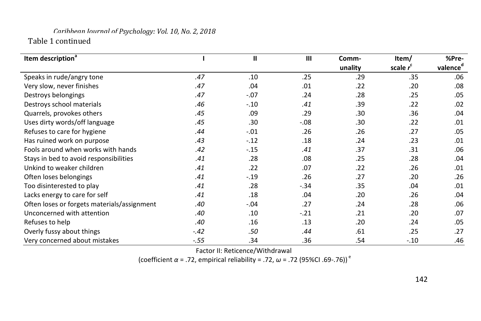# *Caribbean Journal of Psychology: Vol. 10, No. 2, 2018* Table 1 continued

| Item description <sup>a</sup>               |        | $\mathbf{I}$ | $\mathbf{m}$ | Comm-<br>unality | Item/<br>scale r <sup>c</sup> | %Pre-<br>valence <sup>d</sup> |
|---------------------------------------------|--------|--------------|--------------|------------------|-------------------------------|-------------------------------|
| Speaks in rude/angry tone                   | .47    | .10          | .25          | .29              | .35                           | .06                           |
| Very slow, never finishes                   | .47    | .04          | .01          | .22              | .20                           | .08                           |
| Destroys belongings                         | .47    | $-.07$       | .24          | .28              | .25                           | .05                           |
| Destroys school materials                   | .46    | $-.10$       | .41          | .39              | .22                           | .02                           |
| Quarrels, provokes others                   | .45    | .09          | .29          | .30              | .36                           | .04                           |
| Uses dirty words/off language               | .45    | .30          | $-.08$       | .30              | .22                           | .01                           |
| Refuses to care for hygiene                 | .44    | $-.01$       | .26          | .26              | .27                           | .05                           |
| Has ruined work on purpose                  | .43    | $-12$        | .18          | .24              | .23                           | .01                           |
| Fools around when works with hands          | .42    | $-.15$       | .41          | .37              | .31                           | .06                           |
| Stays in bed to avoid responsibilities      | .41    | .28          | .08          | .25              | .28                           | .04                           |
| Unkind to weaker children                   | .41    | .22          | .07          | .22              | .26                           | .01                           |
| Often loses belongings                      | .41    | $-.19$       | .26          | .27              | .20                           | .26                           |
| Too disinterested to play                   | .41    | .28          | $-.34$       | .35              | .04                           | .01                           |
| Lacks energy to care for self               | .41    | .18          | .04          | .20              | .26                           | .04                           |
| Often loses or forgets materials/assignment | .40    | $-.04$       | .27          | .24              | .28                           | .06                           |
| Unconcerned with attention                  | .40    | .10          | $-.21$       | .21              | .20                           | .07                           |
| Refuses to help                             | .40    | .16          | .13          | .20              | .24                           | .05                           |
| Overly fussy about things                   | $-.42$ | .50          | .44          | .61              | .25                           | .27                           |
| Very concerned about mistakes               | $-.55$ | .34          | .36          | .54              | $-.10$                        | .46                           |

Factor II: Reticence/Withdrawal

(coefficient *α* = .72, empirical reliability = .72, *ω* = .72 (95%CI .69-.76)) <sup>e</sup>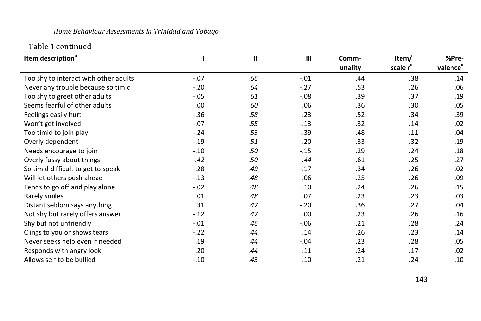# *Home Behaviour Assessments in Trinidad and Tobago*

# Table 1 continued

| Item description <sup>a</sup>         |         | $\mathbf{H}$ | $\mathbf{III}$ | Comm-   | Item/       | %Pre-                |
|---------------------------------------|---------|--------------|----------------|---------|-------------|----------------------|
|                                       |         |              |                | unality | scale $r^c$ | valence <sup>d</sup> |
| Too shy to interact with other adults | $-.07$  | .66          | $-.01$         | .44     | .38         | .14                  |
| Never any trouble because so timid    | $-.20$  | .64          | $-.27$         | .53     | .26         | .06                  |
| Too shy to greet other adults         | $-.05$  | .61          | $-.08$         | .39     | .37         | .19                  |
| Seems fearful of other adults         | .00     | .60          | .06            | .36     | .30         | .05                  |
| Feelings easily hurt                  | $-.36$  | .58          | .23            | .52     | .34         | .39                  |
| Won't get involved                    | $-.07$  | .55          | $-.13$         | .32     | .14         | .02                  |
| Too timid to join play                | $-24$   | .53          | $-.39$         | .48     | .11         | .04                  |
| Overly dependent                      | $-0.19$ | .51          | .20            | .33     | .32         | .19                  |
| Needs encourage to join               | $-.10$  | .50          | $-.15$         | .29     | .24         | .18                  |
| Overly fussy about things             | $-.42$  | .50          | .44            | .61     | .25         | .27                  |
| So timid difficult to get to speak    | .28     | .49          | $-.17$         | .34     | .26         | .02                  |
| Will let others push ahead            | $-.13$  | .48          | .06            | .25     | .26         | .09                  |
| Tends to go off and play alone        | $-.02$  | .48          | .10            | .24     | .26         | .15                  |
| Rarely smiles                         | .01     | .48          | .07            | .23     | .23         | .03                  |
| Distant seldom says anything          | .31     | .47          | $-.20$         | .36     | .27         | .04                  |
| Not shy but rarely offers answer      | $-.12$  | .47          | .00            | .23     | .26         | .16                  |
| Shy but not unfriendly                | $-.01$  | .46          | $-.06$         | .21     | .28         | .24                  |
| Clings to you or shows tears          | $-.22$  | .44          | .14            | .26     | .23         | .14                  |
| Never seeks help even if needed       | .19     | .44          | $-.04$         | .23     | .28         | .05                  |
| Responds with angry look              | .20     | .44          | .11            | .24     | .17         | .02                  |
| Allows self to be bullied             | $-.10$  | .43          | .10            | .21     | .24         | .10                  |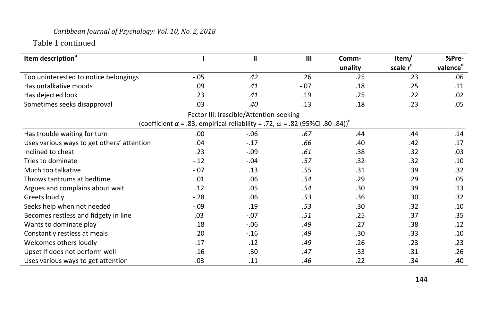# *Caribbean Journal of Psychology: Vol. 10, No. 2, 2018*

Table 1 continued

| Item description <sup>ª</sup>              |                                                                                                        | $\mathbf{u}$                            | III    | Comm-<br>unality | Item/<br>scale $r^c$ | %Pre-<br>valence <sup>d</sup> |
|--------------------------------------------|--------------------------------------------------------------------------------------------------------|-----------------------------------------|--------|------------------|----------------------|-------------------------------|
| Too uninterested to notice belongings      | $-.05$                                                                                                 | .42                                     | .26    | .25              | .23                  | .06                           |
| Has untalkative moods                      | .09                                                                                                    | .41                                     | $-.07$ | .18              | .25                  | .11                           |
| Has dejected look                          | .23                                                                                                    | .41                                     | .19    | .25              | .22                  | .02                           |
| Sometimes seeks disapproval                | .03                                                                                                    | .40                                     | .13    | .18              | .23                  | .05                           |
|                                            |                                                                                                        |                                         |        |                  |                      |                               |
|                                            |                                                                                                        | Factor III: Irascible/Attention-seeking |        |                  |                      |                               |
|                                            | (coefficient $\alpha$ = .83, empirical reliability = .72, $\omega$ = .82 (95%Cl .80-.84)) <sup>e</sup> |                                         |        |                  |                      |                               |
| Has trouble waiting for turn               | .00.                                                                                                   | $-.06$                                  | .67    | .44              | .44                  | .14                           |
| Uses various ways to get others' attention | .04                                                                                                    | $-.17$                                  | .66    | .40              | .42                  | .17                           |
| Inclined to cheat                          | .23                                                                                                    | $-.09$                                  | .61    | .38              | .32                  | .03                           |
| Tries to dominate                          | $-.12$                                                                                                 | $-.04$                                  | .57    | .32              | .32                  | .10                           |
| Much too talkative                         | $-.07$                                                                                                 | .13                                     | .55    | .31              | .39                  | .32                           |
| Throws tantrums at bedtime                 | .01                                                                                                    | .06                                     | .54    | .29              | .29                  | .05                           |
| Argues and complains about wait            | .12                                                                                                    | .05                                     | .54    | .30              | .39                  | .13                           |
| Greets loudly                              | $-.28$                                                                                                 | .06                                     | .53    | .36              | .30                  | .32                           |
| Seeks help when not needed                 | $-.09$                                                                                                 | .19                                     | .53    | .30              | .32                  | .10                           |
| Becomes restless and fidgety in line       | .03                                                                                                    | $-.07$                                  | .51    | .25              | .37                  | .35                           |
| Wants to dominate play                     | .18                                                                                                    | $-.06$                                  | .49    | .27              | .38                  | .12                           |
| Constantly restless at meals               | .20                                                                                                    | $-.16$                                  | .49    | .30              | .33                  | .10                           |
| Welcomes others loudly                     | $-.17$                                                                                                 | $-.12$                                  | .49    | .26              | .23                  | .23                           |
| Upset if does not perform well             | $-.16$                                                                                                 | .30                                     | .47    | .33              | .31                  | .26                           |
| Uses various ways to get attention         | $-.03$                                                                                                 | .11                                     | .46    | .22              | .34                  | .40                           |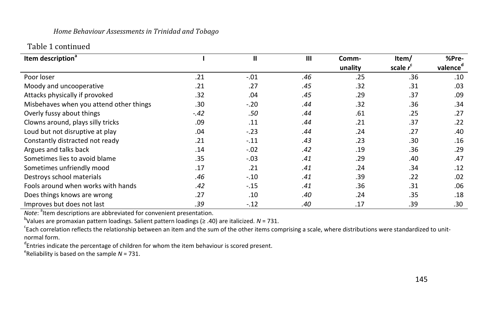### *Home Behaviour Assessments in Trinidad and Tobago*

# Table 1 continued

| Item description <sup>a</sup>           |        | $\mathbf{I}$ | $\mathbf{III}$ | Comm-   | Item/                | %Pre-                |
|-----------------------------------------|--------|--------------|----------------|---------|----------------------|----------------------|
|                                         |        |              |                | unality | scale r <sup>c</sup> | valence <sup>d</sup> |
| Poor loser                              | .21    | $-.01$       | .46            | .25     | .36                  | .10                  |
| Moody and uncooperative                 | .21    | .27          | .45            | .32     | .31                  | .03                  |
| Attacks physically if provoked          | .32    | .04          | .45            | .29     | .37                  | .09                  |
| Misbehaves when you attend other things | .30    | $-.20$       | .44            | .32     | .36                  | .34                  |
| Overly fussy about things               | $-.42$ | .50          | .44            | .61     | .25                  | .27                  |
| Clowns around, plays silly tricks       | .09    | .11          | .44            | .21     | .37                  | .22                  |
| Loud but not disruptive at play         | .04    | $-.23$       | .44            | .24     | .27                  | .40                  |
| Constantly distracted not ready         | .21    | $-.11$       | .43            | .23     | .30                  | .16                  |
| Argues and talks back                   | .14    | $-.02$       | .42            | .19     | .36                  | .29                  |
| Sometimes lies to avoid blame           | .35    | $-.03$       | .41            | .29     | .40                  | .47                  |
| Sometimes unfriendly mood               | .17    | .21          | .41            | .24     | .34                  | .12                  |
| Destroys school materials               | .46    | $-.10$       | .41            | .39     | .22                  | .02                  |
| Fools around when works with hands      | .42    | $-.15$       | .41            | .36     | .31                  | .06                  |
| Does things knows are wrong             | .27    | .10          | .40            | .24     | .35                  | .18                  |
| Improves but does not last              | .39    | $-.12$       | .40            | .17     | .39                  | .30                  |

Note: <sup>a</sup>ltem descriptions are abbreviated for convenient presentation.

b Values are promaxian pattern loadings. Salient pattern loadings (≥ .40) are italicized. *N* = 731.

<sup>c</sup>Each correlation reflects the relationship between an item and the sum of the other items comprising a scale, where distributions were standardized to unitnormal form.

<sup>d</sup>Entries indicate the percentage of children for whom the item behaviour is scored present.

e Reliability is based on the sample *N* = 731.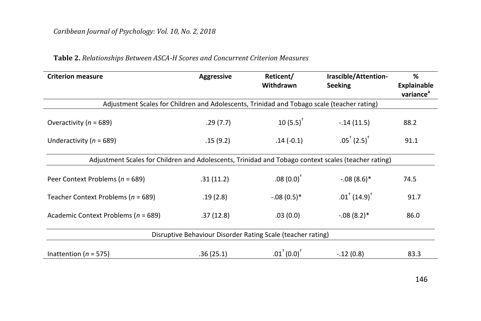| <b>Criterion measure</b>                                                                            | <b>Aggressive</b>                                           | Reticent/<br>Withdrawn | Irascible/Attention-<br><b>Seeking</b>                | %<br><b>Explainable</b><br>variance <sup>a</sup> |  |  |  |  |
|-----------------------------------------------------------------------------------------------------|-------------------------------------------------------------|------------------------|-------------------------------------------------------|--------------------------------------------------|--|--|--|--|
| Adjustment Scales for Children and Adolescents, Trinidad and Tobago scale (teacher rating)          |                                                             |                        |                                                       |                                                  |  |  |  |  |
| Overactivity ( $n = 689$ )                                                                          | .29(7.7)                                                    | $10(5.5)^+$            | $-.14(11.5)$                                          | 88.2                                             |  |  |  |  |
| Underactivity ( $n = 689$ )                                                                         | .15(9.2)                                                    | $.14(-0.1)$            | $.05^{\dagger}$ (2.5) <sup><math>\dagger</math></sup> | 91.1                                             |  |  |  |  |
| Adjustment Scales for Children and Adolescents, Trinidad and Tobago context scales (teacher rating) |                                                             |                        |                                                       |                                                  |  |  |  |  |
| Peer Context Problems ( $n = 689$ )                                                                 | .31(11.2)                                                   | $.08(0.0)^+$           | $-.08(8.6)$ *                                         | 74.5                                             |  |  |  |  |
| Teacher Context Problems ( $n = 689$ )                                                              | .19(2.8)                                                    | $-.08(0.5)*$           | $.01^{\dagger}$ (14.9) <sup>†</sup>                   | 91.7                                             |  |  |  |  |
| Academic Context Problems ( $n = 689$ )                                                             | .37(12.8)                                                   | .03(0.0)               | $-.08(8.2)$ <sup>*</sup>                              | 86.0                                             |  |  |  |  |
|                                                                                                     | Disruptive Behaviour Disorder Rating Scale (teacher rating) |                        |                                                       |                                                  |  |  |  |  |
| Inattention ( $n = 575$ )                                                                           | .36(25.1)                                                   | $.01^+(0.0)^+$         | $-.12(0.8)$                                           | 83.3                                             |  |  |  |  |

# **Table 2.** *Relationships Between ASCA-H Scores and Concurrent Criterion Measures*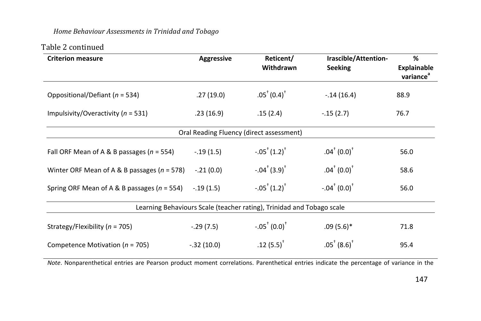## *Home Behaviour Assessments in Trinidad and Tobago*

# Table 2 continued

| <b>Criterion measure</b>                        | <b>Aggressive</b>                        | Reticent/<br>Withdrawn                                                | Irascible/Attention-<br><b>Seeking</b>                   | %<br><b>Explainable</b><br>variance <sup>a</sup> |  |  |  |  |
|-------------------------------------------------|------------------------------------------|-----------------------------------------------------------------------|----------------------------------------------------------|--------------------------------------------------|--|--|--|--|
| Oppositional/Defiant ( $n = 534$ )              | .27(19.0)                                | $.05^{\dagger}$ (0.4) <sup><math>\dagger</math></sup>                 | $-14(16.4)$                                              | 88.9                                             |  |  |  |  |
| Impulsivity/Overactivity ( $n = 531$ )          | .23(16.9)                                | .15(2.4)                                                              | $-.15(2.7)$                                              | 76.7                                             |  |  |  |  |
|                                                 | Oral Reading Fluency (direct assessment) |                                                                       |                                                          |                                                  |  |  |  |  |
| Fall ORF Mean of A & B passages ( $n = 554$ )   | $-.19(1.5)$                              | $-.05^+(1.2)^+$                                                       | $.04^{\dagger}$ (0.0) <sup><math>^{\dagger}</math></sup> | 56.0                                             |  |  |  |  |
| Winter ORF Mean of A & B passages ( $n = 578$ ) | $-.21(0.0)$                              | $-.04^+(3.9)^+$                                                       | $.04^{\dagger}$ (0.0) <sup><math>\dagger</math></sup>    | 58.6                                             |  |  |  |  |
| Spring ORF Mean of A & B passages ( $n = 554$ ) | $-.19(1.5)$                              | $-.05^+(1.2)^+$                                                       | $-.04^+(0.0)^+$                                          | 56.0                                             |  |  |  |  |
|                                                 |                                          | Learning Behaviours Scale (teacher rating), Trinidad and Tobago scale |                                                          |                                                  |  |  |  |  |
| Strategy/Flexibility ( $n = 705$ )              | $-.29(7.5)$                              | $-.05^+(0.0)^+$                                                       | $.09(5.6)$ *                                             | 71.8                                             |  |  |  |  |
| Competence Motivation ( $n = 705$ )             | $-.32(10.0)$                             | $.12(5.5)^{T}$                                                        | $.05^{\dagger}$ (8.6) <sup><math>\dagger</math></sup>    | 95.4                                             |  |  |  |  |

*Note*. Nonparenthetical entries are Pearson product moment correlations. Parenthetical entries indicate the percentage of variance in the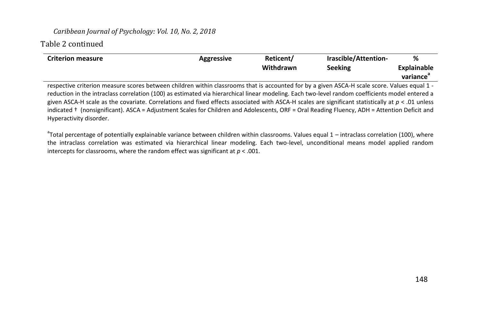### *Caribbean Journal of Psychology: Vol. 10, No. 2, 2018*

## Table 2 continued

| <b>Criterion measure</b> | <b>Aggressive</b> | Reticent/<br>Withdrawn | Irascible/Attention-<br><b>Seeking</b> | %<br>Explainable<br>variance |
|--------------------------|-------------------|------------------------|----------------------------------------|------------------------------|
|                          | .<br>.            | .                      |                                        |                              |

respective criterion measure scores between children within classrooms that is accounted for by a given ASCA-H scale score. Values equal 1 reduction in the intraclass correlation (100) as estimated via hierarchical linear modeling. Each two-level random coefficients model entered a given ASCA-H scale as the covariate. Correlations and fixed effects associated with ASCA-H scales are significant statistically at *p* < .01 unless indicated † (nonsignificant). ASCA = Adjustment Scales for Children and Adolescents, ORF = Oral Reading Fluency, ADH = Attention Deficit and Hyperactivity disorder.

<sup>a</sup>Total percentage of potentially explainable variance between children within classrooms. Values equal 1 – intraclass correlation (100), where the intraclass correlation was estimated via hierarchical linear modeling. Each two-level, unconditional means model applied random intercepts for classrooms, where the random effect was significant at  $p < .001$ .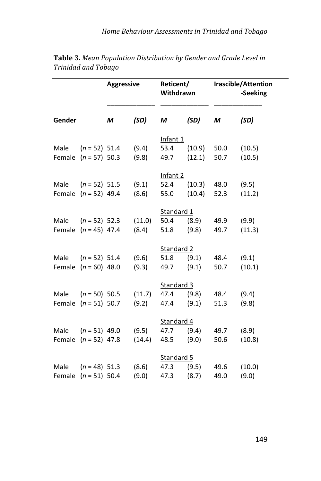|        |                                           | <b>Aggressive</b> |                 | Reticent/<br>Withdrawn     |                  |              | Irascible/Attention<br>-Seeking |
|--------|-------------------------------------------|-------------------|-----------------|----------------------------|------------------|--------------|---------------------------------|
| Gender |                                           | M                 | (SD)            | М                          | (SD)             | M            | (SD)                            |
| Male   | $(n = 52)$ 51.4<br>Female $(n = 57)$ 50.3 |                   | (9.4)<br>(9.8)  | Infant 1<br>53.4<br>49.7   | (10.9)<br>(12.1) | 50.0<br>50.7 | (10.5)<br>(10.5)                |
| Male   | $(n = 52)$ 51.5<br>Female $(n = 52)$ 49.4 |                   | (9.1)<br>(8.6)  | Infant 2<br>52.4<br>55.0   | (10.3)<br>(10.4) | 48.0<br>52.3 | (9.5)<br>(11.2)                 |
| Male   | $(n = 52)$ 52.3<br>Female $(n = 45)$ 47.4 |                   | (11.0)<br>(8.4) | Standard 1<br>50.4<br>51.8 | (8.9)<br>(9.8)   | 49.9<br>49.7 | (9.9)<br>(11.3)                 |
| Male   | $(n = 52)$ 51.4<br>Female $(n = 60)$ 48.0 |                   | (9.6)<br>(9.3)  | Standard 2<br>51.8<br>49.7 | (9.1)<br>(9.1)   | 48.4<br>50.7 | (9.1)<br>(10.1)                 |
| Male   | $(n = 50)$ 50.5<br>Female $(n = 51) 50.7$ |                   | (11.7)<br>(9.2) | Standard 3<br>47.4<br>47.4 | (9.8)<br>(9.1)   | 48.4<br>51.3 | (9.4)<br>(9.8)                  |
| Male   | $(n = 51)$ 49.0<br>Female $(n = 52)$ 47.8 |                   | (9.5)<br>(14.4) | Standard 4<br>47.7<br>48.5 | (9.4)<br>(9.0)   | 49.7<br>50.6 | (8.9)<br>(10.8)                 |
| Male   | $(n = 48)$ 51.3<br>Female $(n = 51)$ 50.4 |                   | (8.6)<br>(9.0)  | Standard 5<br>47.3<br>47.3 | (9.5)<br>(8.7)   | 49.6<br>49.0 | (10.0)<br>(9.0)                 |

**Table 3.** *Mean Population Distribution by Gender and Grade Level in Trinidad and Tobago*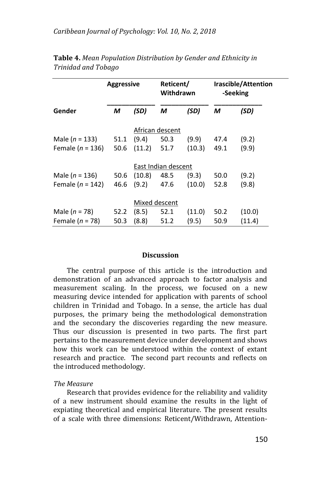|                      | <b>Aggressive</b> |               | Reticent/<br>Withdrawn |        |      | Irascible/Attention<br>-Seeking |  |
|----------------------|-------------------|---------------|------------------------|--------|------|---------------------------------|--|
| Gender               | М                 | (SD)          | М                      | (SD)   | M    | (SD)                            |  |
|                      |                   |               | African descent        |        |      |                                 |  |
| Male ( $n = 133$ )   | 51.1              | (9.4)         | 50.3                   | (9.9)  | 47.4 | (9.2)                           |  |
| Female ( $n = 136$ ) | 50.6              | (11.2)        | 51.7                   | (10.3) | 49.1 | (9.9)                           |  |
|                      |                   |               | East Indian descent    |        |      |                                 |  |
| Male ( $n = 136$ )   | 50.6              | (10.8)        | 48.5                   | (9.3)  | 50.0 | (9.2)                           |  |
| Female ( $n = 142$ ) | 46.6              | (9.2)         | 47.6                   | (10.0) | 52.8 | (9.8)                           |  |
|                      |                   | Mixed descent |                        |        |      |                                 |  |
| Male ( $n = 78$ )    | 52.2              | (8.5)         | 52.1                   | (11.0) | 50.2 | (10.0)                          |  |
| Female ( $n = 78$ )  | 50.3              | (8.8)         | 51.2                   | (9.5)  | 50.9 | (11.4)                          |  |

| Table 4. Mean Population Distribution by Gender and Ethnicity in |  |  |
|------------------------------------------------------------------|--|--|
| Trinidad and Tobago                                              |  |  |

#### **Discussion**

The central purpose of this article is the introduction and demonstration of an advanced approach to factor analysis and measurement scaling. In the process, we focused on a new measuring device intended for application with parents of school children in Trinidad and Tobago. In a sense, the article has dual purposes, the primary being the methodological demonstration and the secondary the discoveries regarding the new measure. Thus our discussion is presented in two parts. The first part pertains to the measurement device under development and shows how this work can be understood within the context of extant research and practice. The second part recounts and reflects on the introduced methodology.

### *The Measure*

Research that provides evidence for the reliability and validity of a new instrument should examine the results in the light of expiating theoretical and empirical literature. The present results of a scale with three dimensions: Reticent/Withdrawn, Attention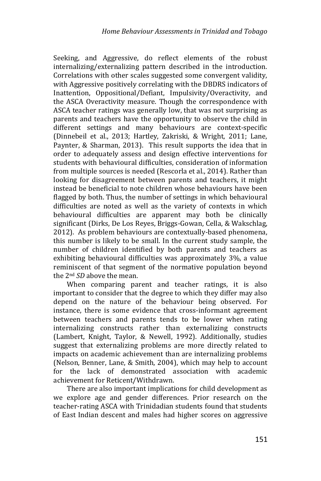Seeking, and Aggressive, do reflect elements of the robust internalizing/externalizing pattern described in the introduction. Correlations with other scales suggested some convergent validity, with Aggressive positively correlating with the DBDRS indicators of Inattention, Oppositional/Defiant, Impulsivity/Overactivity, and the ASCA Overactivity measure. Though the correspondence with ASCA teacher ratings was generally low, that was not surprising as parents and teachers have the opportunity to observe the child in different settings and many behaviours are context-specific (Dinnebeil et al., 2013; Hartley, Zakriski, & Wright, 2011; Lane, Paynter, & Sharman, 2013). This result supports the idea that in order to adequately assess and design effective interventions for students with behavioural difficulties, consideration of information from multiple sources is needed (Rescorla et al., 2014). Rather than looking for disagreement between parents and teachers, it might instead be beneficial to note children whose behaviours have been flagged by both. Thus, the number of settings in which behavioural difficulties are noted as well as the variety of contexts in which behavioural difficulties are apparent may both be clinically significant (Dirks, De Los Reyes, Briggs-Gowan, Cella, & Wakschlag, 2012). As problem behaviours are contextually-based phenomena, this number is likely to be small. In the current study sample, the number of children identified by both parents and teachers as exhibiting behavioural difficulties was approximately 3%, a value reminiscent of that segment of the normative population beyond the 2nd *SD* above the mean.

When comparing parent and teacher ratings, it is also important to consider that the degree to which they differ may also depend on the nature of the behaviour being observed. For instance, there is some evidence that cross-informant agreement between teachers and parents tends to be lower when rating internalizing constructs rather than externalizing constructs (Lambert, Knight, Taylor, & Newell, 1992). Additionally, studies suggest that externalizing problems are more directly related to impacts on academic achievement than are internalizing problems (Nelson, Benner, Lane, & Smith, 2004), which may help to account for the lack of demonstrated association with academic achievement for Reticent/Withdrawn.

There are also important implications for child development as we explore age and gender differences. Prior research on the teacher-rating ASCA with Trinidadian students found that students of East Indian descent and males had higher scores on aggressive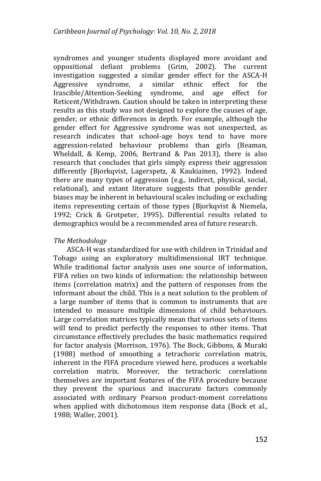syndromes and younger students displayed more avoidant and oppositional defiant problems (Grim, 2002). The current investigation suggested a similar gender effect for the ASCA-H Aggressive syndrome, a similar ethnic effect for the Irascible/Attention-Seeking syndrome, and age effect for Reticent/Withdrawn. Caution should be taken in interpreting these results as this study was not designed to explore the causes of age, gender, or ethnic differences in depth. For example, although the gender effect for Aggressive syndrome was not unexpected, as research indicates that school-age boys tend to have more aggression-related behaviour problems than girls (Beaman, Wheldall, & Kemp, 2006, Bertrand & Pan 2013), there is also research that concludes that girls simply express their aggression differently (Bjorkqvist, Lagerspetz, & Kaukiainen, 1992). Indeed there are many types of aggression (e.g., indirect, physical, social, relational), and extant literature suggests that possible gender biases may be inherent in behavioural scales including or excluding items representing certain of those types (Bjorkqvist & Niemela, 1992; Crick & Grotpeter, 1995). Differential results related to demographics would be a recommended area of future research.

## *The Methodology*

ASCA-H was standardized for use with children in Trinidad and Tobago using an exploratory multidimensional IRT technique. While traditional factor analysis uses one source of information, FIFA relies on two kinds of information: the relationship between items (correlation matrix) and the pattern of responses from the informant about the child. This is a neat solution to the problem of a large number of items that is common to instruments that are intended to measure multiple dimensions of child behaviours. Large correlation matrices typically mean that various sets of items will tend to predict perfectly the responses to other items. That circumstance effectively precludes the basic mathematics required for factor analysis (Morrison, 1976). The Bock, Gibbons, & Muraki (1988) method of smoothing a tetrachoric correlation matrix, inherent in the FIFA procedure viewed here, produces a workable correlation matrix. Moreover, the tetrachoric correlations themselves are important features of the FIFA procedure because they prevent the spurious and inaccurate factors commonly associated with ordinary Pearson product-moment correlations when applied with dichotomous item response data (Bock et al., 1988; Waller, 2001).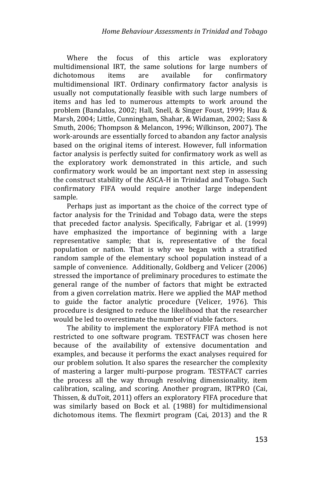Where the focus of this article was exploratory multidimensional IRT, the same solutions for large numbers of dichotomous items are available for confirmatory multidimensional IRT. Ordinary confirmatory factor analysis is usually not computationally feasible with such large numbers of items and has led to numerous attempts to work around the problem (Bandalos, 2002; Hall, Snell, & Singer Foust, 1999; Hau & Marsh, 2004; Little, Cunningham, Shahar, & Widaman, 2002; Sass & Smuth, 2006; Thompson & Melancon, 1996; Wilkinson, 2007). The work-arounds are essentially forced to abandon any factor analysis based on the original items of interest. However, full information factor analysis is perfectly suited for confirmatory work as well as the exploratory work demonstrated in this article, and such confirmatory work would be an important next step in assessing the construct stability of the ASCA-H in Trinidad and Tobago. Such confirmatory FIFA would require another large independent sample.

Perhaps just as important as the choice of the correct type of factor analysis for the Trinidad and Tobago data, were the steps that preceded factor analysis. Specifically, Fabrigar et al. (1999) have emphasized the importance of beginning with a large representative sample; that is, representative of the focal population or nation. That is why we began with a stratified random sample of the elementary school population instead of a sample of convenience. Additionally, Goldberg and Velicer (2006) stressed the importance of preliminary procedures to estimate the general range of the number of factors that might be extracted from a given correlation matrix. Here we applied the MAP method to guide the factor analytic procedure (Velicer, 1976). This procedure is designed to reduce the likelihood that the researcher would be led to overestimate the number of viable factors.

The ability to implement the exploratory FIFA method is not restricted to one software program. TESTFACT was chosen here because of the availability of extensive documentation and examples, and because it performs the exact analyses required for our problem solution. It also spares the researcher the complexity of mastering a larger multi-purpose program. TESTFACT carries the process all the way through resolving dimensionality, item calibration, scaling, and scoring. Another program, IRTPRO (Cai, Thissen, & duToit, 2011) offers an exploratory FIFA procedure that was similarly based on Bock et al. (1988) for multidimensional dichotomous items. The flexmirt program (Cai, 2013) and the R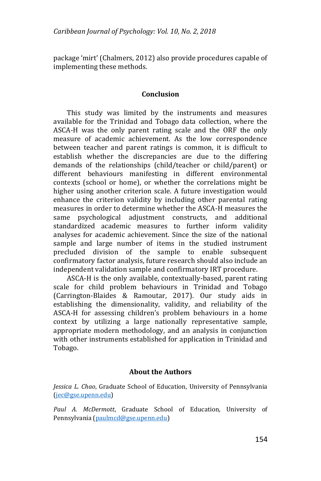package 'mirt' (Chalmers, 2012) also provide procedures capable of implementing these methods.

### **Conclusion**

This study was limited by the instruments and measures available for the Trinidad and Tobago data collection, where the ASCA-H was the only parent rating scale and the ORF the only measure of academic achievement. As the low correspondence between teacher and parent ratings is common, it is difficult to establish whether the discrepancies are due to the differing demands of the relationships (child/teacher or child/parent) or different behaviours manifesting in different environmental contexts (school or home), or whether the correlations might be higher using another criterion scale. A future investigation would enhance the criterion validity by including other parental rating measures in order to determine whether the ASCA-H measures the same psychological adjustment constructs, and additional standardized academic measures to further inform validity analyses for academic achievement. Since the size of the national sample and large number of items in the studied instrument precluded division of the sample to enable subsequent confirmatory factor analysis, future research should also include an independent validation sample and confirmatory IRT procedure.

ASCA-H is the only available, contextually-based, parent rating scale for child problem behaviours in Trinidad and Tobago (Carrington-Blaides & Ramoutar, 2017). Our study aids in establishing the dimensionality, validity, and reliability of the ASCA-H for assessing children's problem behaviours in a home context by utilizing a large nationally representative sample, appropriate modern methodology, and an analysis in conjunction with other instruments established for application in Trinidad and Tobago.

## **About the Authors**

*Jessica L. Chao*, Graduate School of Education, University of Pennsylvania [\(jec@gse.upenn.edu\)](mailto:jec@gse.upenn.edu)

*Paul A. McDermott*, Graduate School of Education, University of Pennsylvania [\(paulmcd@gse.upenn.edu\)](mailto:paulmcd@gse.upenn.edu)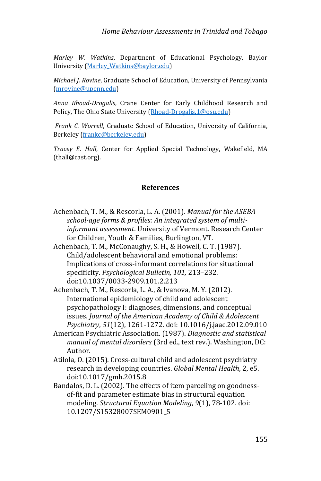*Marley W. Watkins*, Department of Educational Psychology, Baylor University [\(Marley\\_Watkins@baylor.edu\)](mailto:Marley_Watkins@baylor.edu)

*Michael J. Rovine*, Graduate School of Education, University of Pennsylvania [\(mrovine@upenn.edu\)](mailto:mrovine@upenn.edu)

*Anna Rhoad-Drogalis*, Crane Center for Early Childhood Research and Policy, The Ohio State University [\(Rhoad-Drogalis.1@osu.edu\)](mailto:Rhoad-Drogalis.1@osu.edu)

*Frank C. Worrell*, Graduate School of Education, University of California, Berkeley [\(frankc@berkeley.edu\)](mailto:frankc@berkeley.edu)

*Tracey E. Hall*, Center for Applied Special Technology, Wakefield, MA (thall@cast.org).

### **References**

- Achenbach, T. M., & Rescorla, L. A. (2001). *Manual for the ASEBA school-age forms & profiles: An integrated system of multiinformant assessment*. University of Vermont. Research Center for Children, Youth & Families, Burlington, VT.
- Achenbach, T. M., McConaughy, S. H., & Howell, C. T. (1987). Child/adolescent behavioral and emotional problems: Implications of cross-informant correlations for situational specificity. *Psychological Bulletin, 101,* 213–232. doi:10.1037/0033-2909.101.2.213
- Achenbach, T. M., Rescorla, L. A., & Ivanova, M. Y. (2012). International epidemiology of child and adolescent psychopathology I: diagnoses, dimensions, and conceptual issues. *Journal of the American Academy of Child & Adolescent Psychiatry*, *51*(12), 1261-1272. doi: 10.1016/j.jaac.2012.09.010
- American Psychiatric Association. (1987). *Diagnostic and statistical manual of mental disorders* (3rd ed., text rev.). Washington, DC: Author.
- Atilola, O. (2015). Cross-cultural child and adolescent psychiatry research in developing countries. *Global Mental Health*, 2, e5. doi:10.1017/gmh.2015.8
- Bandalos, D. L. (2002). The effects of item parceling on goodnessof-fit and parameter estimate bias in structural equation modeling. *Structural Equation Modeling*, *9*(1), 78-102. doi: 10.1207/S15328007SEM0901\_5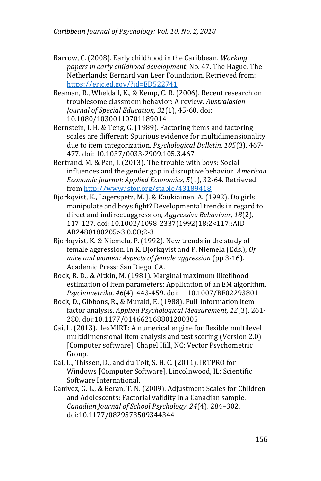- Barrow, C. (2008). Early childhood in the Caribbean. *Working papers in early childhood development*, No. 47. The Hague, The Netherlands: Bernard van Leer Foundation. Retrieved from: <https://eric.ed.gov/?id=ED522741>
- Beaman, R., Wheldall, K., & Kemp, C. R. (2006). Recent research on troublesome classroom behavior: A review. *Australasian Journal of Special Education, 31*(1), 45-60. doi: 10.1080/10300110701189014
- Bernstein, I. H. & Teng, G. (1989). Factoring items and factoring scales are different: Spurious evidence for multidimensionality due to item categorization. *Psychological Bulletin, 105*(3)*,* 467- 477. doi: 10.1037/0033-2909.105.3.467
- Bertrand, M. & Pan, J. (2013). The trouble with boys: Social influences and the gender gap in disruptive behavior. *American Economic Journal: Applied Economics, 5*(1), 32-64. Retrieved from<http://www.jstor.org/stable/43189418>
- Bjorkqvist, K., Lagerspetz, M. J. & Kaukiainen, A. (1992). Do girls manipulate and boys fight? Developmental trends in regard to direct and indirect aggression, *Aggressive Behaviour, 18*(2)*,*  117-127. doi: 10.1002/1098-2337(1992)18:2<117::AID-AB2480180205>3.0.CO;2-3
- Bjorkqvist, K. & Niemela, P. (1992). New trends in the study of female aggression. In K. Bjorkqvist and P. Niemela (Eds.), *Of mice and women: Aspects of female aggression* (pp 3-16). Academic Press; San Diego, CA.

Bock, R. D., & Aitkin, M. (1981). Marginal maximum likelihood estimation of item parameters: Application of an EM algorithm. *Psychometrika, 46*(4), 443-459. doi: 10.1007/BF02293801

- Bock, D., Gibbons, R., & Muraki, E. (1988). Full-information item factor analysis. *Applied Psychological Measurement, 12*(3), 261- 280. doi:10.1177/014662168801200305
- Cai, L. (2013). flexMIRT: A numerical engine for flexible multilevel multidimensional item analysis and test scoring (Version 2.0) [Computer software]. Chapel Hill, NC: Vector Psychometric Group.
- Cai, L., Thissen, D., and du Toit, S. H. C. (2011). IRTPRO for Windows [Computer Software]. Lincolnwood, IL: Scientific Software International.
- Canivez, G. L., & Beran, T. N. (2009). Adjustment Scales for Children and Adolescents: Factorial validity in a Canadian sample. *Canadian Journal of School Psychology, 24*(4), 284–302. doi:10.1177/0829573509344344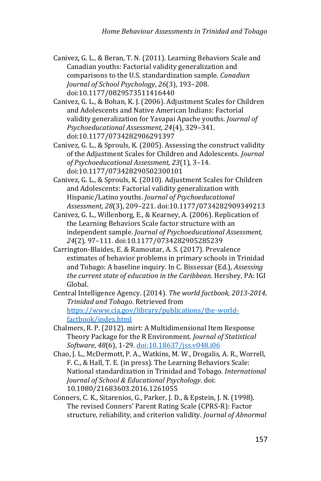- Canivez, G. L., & Beran, T. N. (2011). Learning Behaviors Scale and Canadian youths: Factorial validity generalization and comparisons to the U.S. standardization sample. *Canadian Journal of School Psychology*, *26*(3), 193–208. doi:10.1177/0829573511416440
- Canivez, G. L., & Bohan, K. J. (2006). Adjustment Scales for Children and Adolescents and Native American Indians: Factorial validity generalization for Yavapai Apache youths. *Journal of Psychoeducational Assessment, 24*(4), 329–341. doi:10.1177/0734282906291397
- Canivez, G. L., & Sprouls, K. (2005). Assessing the construct validity of the Adjustment Scales for Children and Adolescents. *Journal of Psychoeducational Assessment, 23*(1), 3–14. doi:10.1177/073428290502300101
- Canivez, G. L., & Sprouls, K. (2010). Adjustment Scales for Children and Adolescents: Factorial validity generalization with Hispanic/Latino youths. *Journal of Psychoeducational Assessment, 28*(3), 209–221. doi:10.1177/0734282909349213
- Canivez, G. L., Willenborg, E., & Kearney, A. (2006). Replication of the Learning Behaviors Scale factor structure with an independent sample. *Journal of Psychoeducational Assessment, 24*(2)*,* 97–111. doi:10.1177/0734282905285239
- Carrington-Blaides, E. & Ramoutar, A. S. (2017). Prevalence estimates of behavior problems in primary schools in Trinidad and Tobago: A baseline inquiry. In C. Bissessar (Ed.), *Assessing the current state of education in the Caribbean*. Hershey, PA: IGI Global.
- Central Intelligence Agency. (2014). *The world factbook, 2013-2014, Trinidad and Tobago*. Retrieved from [https://www.cia.gov/library/publications/the-world](https://www.cia.gov/library/publications/the-world-factbook/index.html)[factbook/index.html](https://www.cia.gov/library/publications/the-world-factbook/index.html)
- Chalmers, R. P. (2012). mirt: A Multidimensional Item Response Theory Package for the R Environment. *Journal of Statistical Software*, *48*(6), 1-29. [doi:10.18637/jss.v048.i06](http://dx.doi.org/10.18637/jss.v048.i06)
- Chao, J. L., McDermott, P. A., Watkins, M. W., Drogalis, A. R., Worrell, F. C., & Hall, T. E. (in press). The Learning Behaviors Scale: National standardization in Trinidad and Tobago*. International Journal of School & Educational Psychology*. doi: 10.1080/21683603.2016.1261055
- Conners, C. K., Sitarenios, G., Parker, J. D., & Epstein, J. N. (1998). The revised Conners' Parent Rating Scale (CPRS-R): Factor structure, reliability, and criterion validity. *Journal of Abnormal*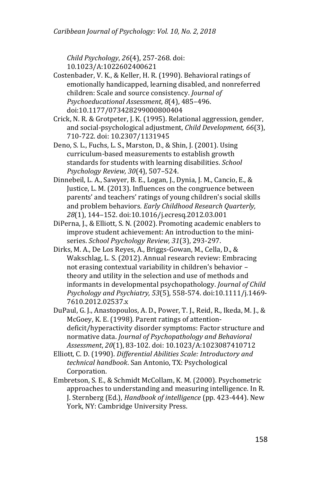*Child Psychology*, *26*(4), 257-268. doi: 10.1023/A:1022602400621

- Costenbader, V. K., & Keller, H. R. (1990). Behavioral ratings of emotionally handicapped, learning disabled, and nonreferred children: Scale and source consistency. *Journal of Psychoeducational Assessment*, *8*(4), 485–496. doi:10.1177/073428299000800404
- Crick, N. R. & Grotpeter, J. K. (1995). Relational aggression, gender, and social-psychological adjustment, *Child Development, 66*(3), 710-722. doi: 10.2307/1131945
- Deno, S. L., Fuchs, L. S., Marston, D., & Shin, J. (2001). Using curriculum-based measurements to establish growth standards for students with learning disabilities. *School Psychology Review, 30*(4), 507–524.
- Dinnebeil, L. A., Sawyer, B. E., Logan, J., Dynia, J. M., Cancio, E., & Justice, L. M. (2013). Influences on the congruence between parents' and teachers' ratings of young children's social skills and problem behaviors*. Early Childhood Research Quarterly, 28*(1), 144–152. doi:10.1016/j.ecresq.2012.03.001
- DiPerna, J., & Elliott, S. N. (2002). Promoting academic enablers to improve student achievement: An introduction to the miniseries. *School Psychology Review, 31*(3), 293-297.
- Dirks, M. A., De Los Reyes, A., Briggs-Gowan, M., Cella, D., & Wakschlag, L. S. (2012). Annual research review: Embracing not erasing contextual variability in children's behavior – theory and utility in the selection and use of methods and informants in developmental psychopathology. *Journal of Child Psychology and Psychiatry, 53*(5)*,* 558-574. doi:10.1111/j.1469- 7610.2012.02537.x
- DuPaul, G. J., Anastopoulos, A. D., Power, T. J., Reid, R., Ikeda, M. J., & McGoey, K. E. (1998). Parent ratings of attentiondeficit/hyperactivity disorder symptoms: Factor structure and normative data. *Journal of Psychopathology and Behavioral Assessment*, *20*(1), 83-102. doi: 10.1023/A:1023087410712
- Elliott, C. D. (1990). *Differential Abilities Scale: Introductory and technical handbook*. San Antonio, TX: Psychological Corporation.
- Embretson, S. E., & Schmidt McCollam, K. M. (2000). Psychometric approaches to understanding and measuring intelligence. In R. J. Sternberg (Ed.), *Handbook of intelligence* (pp. 423-444). New York, NY: Cambridge University Press.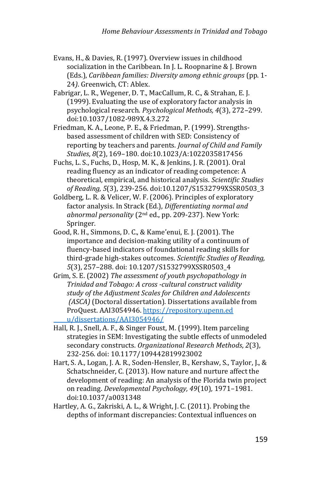- Evans, H., & Davies, R. (1997). Overview issues in childhood socialization in the Caribbean. In J. L. Roopnarine & J. Brown (Eds.), *Caribbean families: Diversity among ethnic groups* (pp. 1- 24*)*. Greenwich, CT: Ablex.
- Fabrigar, L. R., Wegener, D. T., MacCallum, R. C., & Strahan, E. J. (1999). Evaluating the use of exploratory factor analysis in psychological research. *Psychological Methods, 4*(3), 272–299. doi:10.1037/1082-989X.4.3.272
- Friedman, K. A., Leone, P. E., & Friedman, P. (1999). Strengthsbased assessment of children with SED: Consistency of reporting by teachers and parents. *Journal of Child and Family Studies*, *8*(2), 169–180. doi:10.1023/A:1022035817456
- Fuchs, L. S., Fuchs, D., Hosp, M. K., & Jenkins, J. R. (2001). Oral reading fluency as an indicator of reading competence: A theoretical, empirical, and historical analysis. *Scientific Studies of Reading, 5*(3), 239-256. doi:10.1207/S1532799XSSR0503\_3
- Goldberg, L. R. & Velicer, W. F. (2006). Principles of exploratory factor analysis. In Strack (Ed.), *Differentiating normal and abnormal personality* (2nd ed., pp. 209-237). New York: Springer.
- Good, R. H., Simmons, D. C., & Kame'enui, E. J. (2001). The importance and decision-making utility of a continuum of fluency-based indicators of foundational reading skills for third-grade high-stakes outcomes. *Scientific Studies of Reading, 5*(3), 257–288. doi: 10.1207/S1532799XSSR0503\_4
- Grim, S. E. (2002) *The assessment of youth psychopathology in Trinidad and Tobago: A cross -cultural construct validity study of the Adjustment Scales for Children and Adolescents (ASCA)* (Doctoral dissertation)*.* Dissertations available from ProQuest. AAI3054946. https://repository.upenn.ed u/dissertations/AAI3054946/
- Hall, R. J., Snell, A. F., & Singer Foust, M. (1999). Item parceling strategies in SEM: Investigating the subtle effects of unmodeled secondary constructs. *Organizational Research Methods*, *2*(3), 232-256. doi: 10.1177/109442819923002
- Hart, S. A., Logan, J. A. R., Soden-Hensler, B., Kershaw, S., Taylor, J., & Schatschneider, C. (2013). How nature and nurture affect the development of reading: An analysis of the Florida twin project on reading. *Developmental Psychology, 49*(10)*,* 1971–1981. doi:10.1037/a0031348
- Hartley, A. G., Zakriski, A. L., & Wright, J. C. (2011). Probing the depths of informant discrepancies: Contextual influences on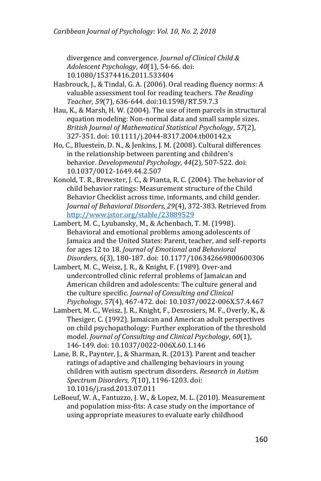divergence and convergence. *Journal of Clinical Child & Adolescent Psychology*, *40*(1), 54-66. doi: 10.1080/15374416.2011.533404

- Hasbrouck, J., & Tindal, G. A. (2006). Oral reading fluency norms: A valuable assessment tool for reading teachers. *The Reading Teacher, 59*(7), 636-644. doi:10.1598/RT.59.7.3
- Hau, K., & Marsh, H. W. (2004). The use of item parcels in structural equation modeling: Non-normal data and small sample sizes. *British Journal of Mathematical Statistical Psychology*, *57*(2), 327-351. doi: 10.1111/j.2044-8317.2004.tb00142.x
- Ho, C., Bluestein, D. N., & Jenkins, J. M. (2008). Cultural differences in the relationship between parenting and children's behavior. *Developmental Psychology*, *44*(2), 507-522. doi: 10.1037/0012-1649.44.2.507
- Konold, T. R., Brewster, J. C., & Pianta, R. C. (2004). The behavior of child behavior ratings: Measurement structure of the Child Behavior Checklist across time, informants, and child gender. *Journal of Behavioral Disorders, 29*(4), 372-383. Retrieved from <http://www.jstor.org/stable/23889529>
- Lambert, M. C., Lyubansky, M., & Achenbach, T. M. (1998). Behavioral and emotional problems among adolescents of Jamaica and the United States: Parent, teacher, and self-reports for ages 12 to 18. *Journal of Emotional and Behavioral Disorders*, *6*(3), 180-187. doi: 10.1177/106342669800600306
- Lambert, M. C., Weisz, J. R., & Knight, F. (1989). Over-and undercontrolled clinic referral problems of Jamaican and American children and adolescents: The culture general and the culture specific. *Journal of Consulting and Clinical Psychology*, *57*(4), 467-472. doi: 10.1037/0022-006X.57.4.467
- Lambert, M. C., Weisz, J. R., Knight, F., Desrosiers, M. F., Overly, K., & Thesiger, C. (1992). Jamaican and American adult perspectives on child psychopathology: Further exploration of the threshold model. *Journal of Consulting and Clinical Psychology*, *60*(1), 146-149. doi: 10.1037/0022-006X.60.1.146
- Lane, B. R., Paynter, J., & Sharman, R. (2013). Parent and teacher ratings of adaptive and challenging behaviours in young children with autism spectrum disorders. *Research in Autism Spectrum Disorders*, *7*(10), 1196-1203. doi: 10.1016/j.rasd.2013.07.011
- LeBoeuf, W. A., Fantuzzo, J. W., & Lopez, M. L. (2010). Measurement and population miss-fits: A case study on the importance of using appropriate measures to evaluate early childhood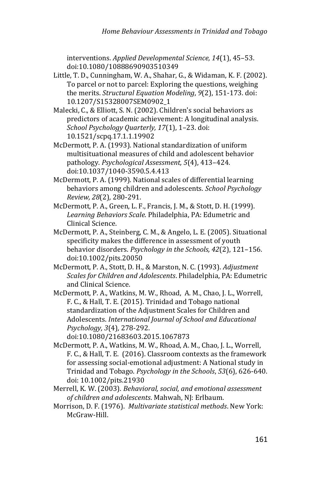interventions. *Applied Developmental Science, 14*(1), 45–53. doi:10.1080/10888690903510349

- Little, T. D., Cunningham, W. A., Shahar, G., & Widaman, K. F. (2002). To parcel or not to parcel: Exploring the questions, weighing the merits. *Structural Equation Modeling*, *9*(2), 151-173. doi: 10.1207/S15328007SEM0902\_1
- Malecki, C., & Elliott, S. N. (2002). Children's social behaviors as predictors of academic achievement: A longitudinal analysis. *School Psychology Quarterly, 17*(1), 1–23. doi: 10.1521/scpq.17.1.1.19902
- McDermott, P. A. (1993). National standardization of uniform multisituational measures of child and adolescent behavior pathology. *Psychological Assessment, 5*(4), 413–424. doi:10.1037/1040-3590.5.4.413
- McDermott, P. A. (1999). National scales of differential learning behaviors among children and adolescents. *School Psychology Review, 28*(2)*,* 280-291.
- McDermott, P. A., Green, L. F., Francis, J. M., & Stott, D. H. (1999). *Learning Behaviors Scale.* Philadelphia, PA: Edumetric and Clinical Science.
- McDermott, P. A., Steinberg, C. M., & Angelo, L. E. (2005). Situational specificity makes the difference in assessment of youth behavior disorders. *Psychology in the Schools, 42*(2), 121–156. doi:10.1002/pits.20050
- McDermott, P. A., Stott, D. H., & Marston, N. C. (1993). *Adjustment Scales for Children and Adolescents*. Philadelphia, PA: Edumetric and Clinical Science.
- McDermott, P. A., Watkins, M. W., Rhoad, A. M., Chao, J. L., Worrell, F. C., & Hall, T. E. (2015). Trinidad and Tobago national standardization of the Adjustment Scales for Children and Adolescents. *International Journal of School and Educational Psychology, 3*(4)*,* 278-292.

doi:10.1080/21683603.2015.1067873

- McDermott, P. A., Watkins, M. W., Rhoad, A. M., Chao, J. L., Worrell, F. C., & Hall, T. E. (2016). Classroom contexts as the framework for assessing social-emotional adjustment: A National study in Trinidad and Tobago. *Psychology in the Schools*, *53*(6), 626-640. doi: 10.1002/pits.21930
- Merrell, K. W. (2003). *Behavioral, social, and emotional assessment of children and adolescents*. Mahwah, NJ: Erlbaum.
- Morrison, D. F. (1976). *Multivariate statistical methods*. New York: McGraw-Hill.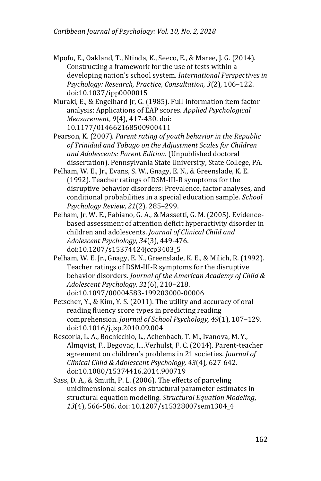Mpofu, E., Oakland, T., Ntinda, K., Seeco, E., & Maree, J. G. (2014). Constructing a framework for the use of tests within a developing nation's school system. *International Perspectives in Psychology: Research, Practice, Consultation, 3*(2)*,* 106–122. doi:10.1037/ipp0000015

Muraki, E., & Engelhard Jr, G. (1985). Full-information item factor analysis: Applications of EAP scores. *Applied Psychological Measurement*, *9*(4), 417-430. doi: 10.1177/014662168500900411

Pearson, K. (2007). *Parent rating of youth behavior in the Republic of Trinidad and Tobago on the Adjustment Scales for Children and Adolescents: Parent Edition.* (Unpublished doctoral dissertation). Pennsylvania State University, State College, PA.

- Pelham, W. E., Jr., Evans, S. W., Gnagy, E. N., & Greenslade, K. E. (1992). Teacher ratings of DSM-III-R symptoms for the disruptive behavior disorders: Prevalence, factor analyses, and conditional probabilities in a special education sample. *School Psychology Review, 21*(2)*,* 285–299.
- Pelham, Jr, W. E., Fabiano, G. A., & Massetti, G. M. (2005). Evidencebased assessment of attention deficit hyperactivity disorder in children and adolescents. *Journal of Clinical Child and Adolescent Psychology, 34*(3), 449-476. doi:10.1207/s15374424jccp3403\_5

Pelham, W. E. Jr., Gnagy, E. N., Greenslade, K. E., & Milich, R. (1992). Teacher ratings of DSM-III-R symptoms for the disruptive behavior disorders. *Journal of the American Academy of Child & Adolescent Psychology, 31*(6), 210–218. doi:10.1097/00004583-199203000-00006

Petscher, Y., & Kim, Y. S. (2011). The utility and accuracy of oral reading fluency score types in predicting reading comprehension. *Journal of School Psychology, 49*(1), 107–129. doi:10.1016/j.jsp.2010.09.004

Rescorla, L. A., Bochicchio, L., Achenbach, T. M., Ivanova, M. Y., Almqvist, F., Begovac, I....Verhulst, F. C. (2014). Parent-teacher agreement on children's problems in 21 societies. *Journal of Clinical Child & Adolescent Psychology, 43*(4)*,* 627-642. doi:10.1080/15374416.2014.900719

Sass, D. A., & Smuth, P. L. (2006). The effects of parceling unidimensional scales on structural parameter estimates in structural equation modeling. *Structural Equation Modeling*, *13*(4), 566-586. doi: 10.1207/s15328007sem1304\_4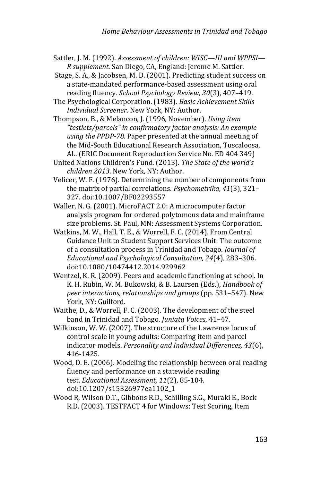- Sattler, J. M. (1992). *Assessment of children: WISC—III and WPPSI— R supplement*. San Diego, CA, England: Jerome M. Sattler.
- Stage, S. A., & Jacobsen, M. D. (2001). Predicting student success on a state-mandated performance-based assessment using oral reading fluency. *School Psychology Review*, *30*(3), 407–419.
- The Psychological Corporation. (1983). *Basic Achievement Skills Individual Screener*. New York, NY: Author.
- Thompson, B., & Melancon, J. (1996, November). *Using item "testlets/parcels" in confirmatory factor analysis: An example using the PPDP-78*. Paper presented at the annual meeting of the Mid-South Educational Research Association, Tuscaloosa, AL. (ERIC Document Reproduction Service No. ED 404 349)
- United Nations Children's Fund. (2013). *The State of the world's children 2013*. New York, NY: Author.
- Velicer, W. F. (1976). Determining the number of components from the matrix of partial correlations*. Psychometrika, 41*(3), 321– 327. doi:10.1007/BF02293557
- Waller, N. G. (2001). MicroFACT 2.0: A microcomputer factor analysis program for ordered polytomous data and mainframe size problems. St. Paul, MN: Assessment Systems Corporation.
- Watkins, M. W., Hall, T. E., & Worrell, F. C. (2014). From Central Guidance Unit to Student Support Services Unit: The outcome of a consultation process in Trinidad and Tobago. *Journal of Educational and Psychological Consultation, 24*(4), 283–306. doi:10.1080/10474412.2014.929962
- Wentzel, K. R. (2009). Peers and academic functioning at school. In K. H. Rubin, W. M. Bukowski, & B. Laursen (Eds.), *Handbook of peer interactions, relationships and groups* (pp. 531–547). New York, NY: Guilford.
- Waithe, D., & Worrell, F. C. (2003). The development of the steel band in Trinidad and Tobago. *Juniata Voices*, 41–47.
- Wilkinson, W. W. (2007). The structure of the Lawrence locus of control scale in young adults: Comparing item and parcel indicator models. *Personality and Individual Differences, 43*(6), 416-1425.
- Wood, D. E. (2006). Modeling the relationship between oral reading fluency and performance on a statewide reading test. *Educational Assessment, 11*(2), 85-104. doi:10.1207/s15326977ea1102\_1
- Wood R, Wilson D.T., Gibbons R.D., Schilling S.G., Muraki E., Bock R.D. (2003). TESTFACT 4 for Windows: Test Scoring, Item